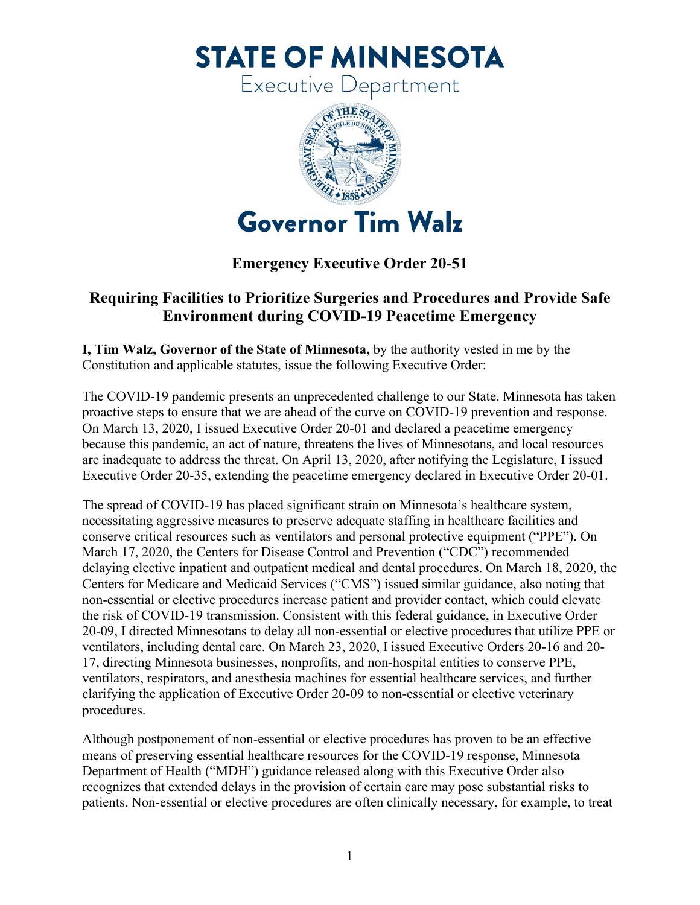**STATE OF MINNESOTA** 

Executive Department



## **Emergency Executive Order 20-51**

## **Requiring Facilities to Prioritize Surgeries and Procedures and Provide Safe Environment during COVID-19 Peacetime Emergency**

Constitution and applicable statutes, issue the following Executive Order: **I, Tim Walz, Governor of the State of Minnesota,** by the authority vested in me by the

The COVID-19 pandemic presents an unprecedented challenge to our State. Minnesota has taken proactive steps to ensure that we are ahead of the curve on COVID-19 prevention and response. On March 13, 2020, I issued Executive Order 20-01 and declared a peacetime emergency because this pandemic, an act of nature, threatens the lives of Minnesotans, and local resources are inadequate to address the threat. On April 13, 2020, after notifying the Legislature, I issued Executive Order 20-35, extending the peacetime emergency declared in Executive Order 20-01.

 Centers for Medicare and Medicaid Services ("CMS") issued similar guidance, also noting that procedures. The spread of COVID-19 has placed significant strain on Minnesota's healthcare system, necessitating aggressive measures to preserve adequate staffing in healthcare facilities and conserve critical resources such as ventilators and personal protective equipment ("PPE"). On March 17, 2020, the Centers for Disease Control and Prevention ("CDC") recommended delaying elective inpatient and outpatient medical and dental procedures. On March 18, 2020, the non-essential or elective procedures increase patient and provider contact, which could elevate the risk of COVID-19 transmission. Consistent with this federal guidance, in Executive Order 20-09, I directed Minnesotans to delay all non-essential or elective procedures that utilize PPE or ventilators, including dental care. On March 23, 2020, I issued Executive Orders 20-16 and 20- 17, directing Minnesota businesses, nonprofits, and non-hospital entities to conserve PPE, ventilators, respirators, and anesthesia machines for essential healthcare services, and further clarifying the application of Executive Order 20-09 to non-essential or elective veterinary

 Department of Health ("MDH") guidance released along with this Executive Order also recognizes that extended delays in the provision of certain care may pose substantial risks to patients. Non-essential or elective procedures are often clinically necessary, for example, to treat Although postponement of non-essential or elective procedures has proven to be an effective means of preserving essential healthcare resources for the COVID-19 response, Minnesota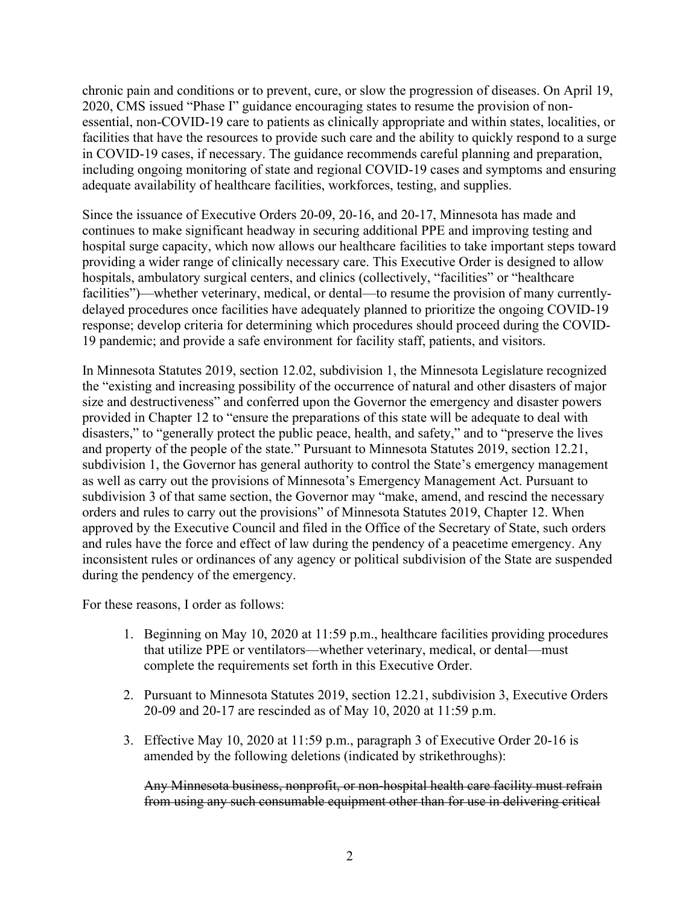2020, CMS issued "Phase I" guidance encouraging states to resume the provision of nonchronic pain and conditions or to prevent, cure, or slow the progression of diseases. On April 19, essential, non-COVID-19 care to patients as clinically appropriate and within states, localities, or facilities that have the resources to provide such care and the ability to quickly respond to a surge in COVID-19 cases, if necessary. The guidance recommends careful planning and preparation, including ongoing monitoring of state and regional COVID-19 cases and symptoms and ensuring adequate availability of healthcare facilities, workforces, testing, and supplies.

 providing a wider range of clinically necessary care. This Executive Order is designed to allow response; develop criteria for determining which procedures should proceed during the COVID- 19 pandemic; and provide a safe environment for facility staff, patients, and visitors. Since the issuance of Executive Orders 20-09, 20-16, and 20-17, Minnesota has made and continues to make significant headway in securing additional PPE and improving testing and hospital surge capacity, which now allows our healthcare facilities to take important steps toward hospitals, ambulatory surgical centers, and clinics (collectively, "facilities" or "healthcare facilities")—whether veterinary, medical, or dental—to resume the provision of many currentlydelayed procedures once facilities have adequately planned to prioritize the ongoing COVID-19

In Minnesota Statutes 2019, section 12.02, subdivision 1, the Minnesota Legislature recognized the "existing and increasing possibility of the occurrence of natural and other disasters of major size and destructiveness" and conferred upon the Governor the emergency and disaster powers provided in Chapter 12 to "ensure the preparations of this state will be adequate to deal with disasters," to "generally protect the public peace, health, and safety," and to "preserve the lives and property of the people of the state." Pursuant to Minnesota Statutes 2019, section 12.21, subdivision 1, the Governor has general authority to control the State's emergency management as well as carry out the provisions of Minnesota's Emergency Management Act. Pursuant to subdivision 3 of that same section, the Governor may "make, amend, and rescind the necessary orders and rules to carry out the provisions" of Minnesota Statutes 2019, Chapter 12. When approved by the Executive Council and filed in the Office of the Secretary of State, such orders and rules have the force and effect of law during the pendency of a peacetime emergency. Any inconsistent rules or ordinances of any agency or political subdivision of the State are suspended during the pendency of the emergency.

For these reasons, I order as follows:

- 1. Beginning on May 10, 2020 at 11:59 p.m., healthcare facilities providing procedures that utilize PPE or ventilators—whether veterinary, medical, or dental—must complete the requirements set forth in this Executive Order.
- 2. Pursuant to Minnesota Statutes 2019, section 12.21, subdivision 3, Executive Orders 20-09 and 20-17 are rescinded as of May 10, 2020 at 11:59 p.m.
- 3. Effective May 10, 2020 at 11:59 p.m., paragraph 3 of Executive Order 20-16 is amended by the following deletions (indicated by strikethroughs):

Any Minnesota business, nonprofit, or non-hospital health care facility must refrain from using any such consumable equipment other than for use in delivering critical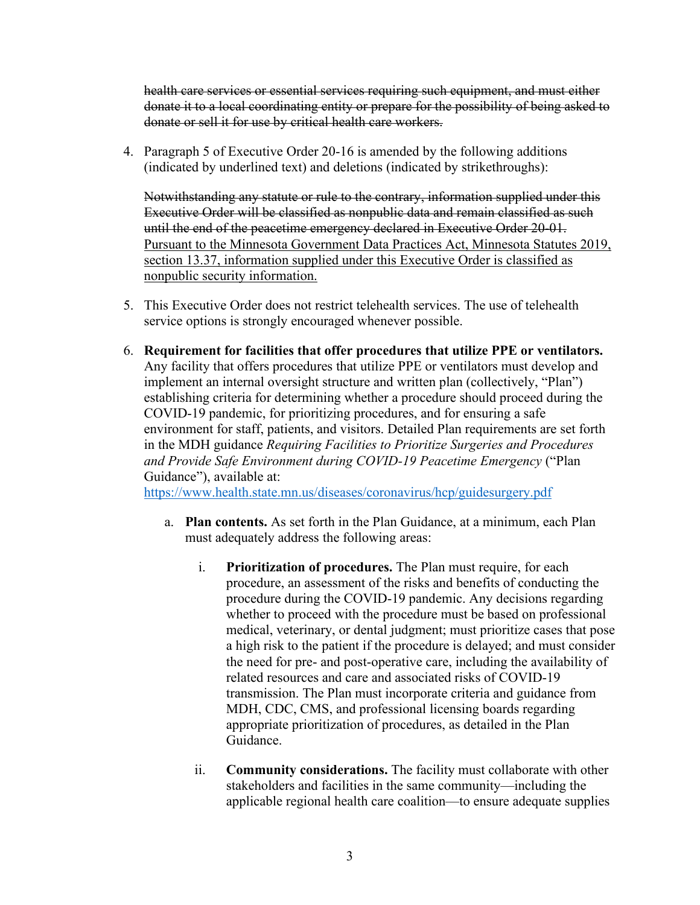health care services or essential services requiring such equipment, and must either donate it to a local coordinating entity or prepare for the possibility of being asked to donate or sell it for use by critical health care workers.

4. Paragraph 5 of Executive Order 20-16 is amended by the following additions (indicated by underlined text) and deletions (indicated by strikethroughs):

section 13.37, information supplied under this Executive Order is classified as Notwithstanding any statute or rule to the contrary, information supplied under this Executive Order will be classified as nonpublic data and remain classified as such until the end of the peacetime emergency declared in Executive Order 20-01. Pursuant to the Minnesota Government Data Practices Act, Minnesota Statutes 2019, nonpublic security information.

- 5. This Executive Order does not restrict telehealth services. The use of telehealth service options is strongly encouraged whenever possible.
- 6. **Requirement for facilities that offer procedures that utilize PPE or ventilators.**  Any facility that offers procedures that utilize PPE or ventilators must develop and implement an internal oversight structure and written plan (collectively, "Plan") establishing criteria for determining whether a procedure should proceed during the COVID-19 pandemic, for prioritizing procedures, and for ensuring a safe environment for staff, patients, and visitors. Detailed Plan requirements are set forth in the MDH guidance *Requiring Facilities to Prioritize Surgeries and Procedures and Provide Safe Environment during COVID-19 Peacetime Emergency* ("Plan Guidance"), available at:

[https://www.health.state.mn.us/diseases/coronavirus/hcp/guidesurgery.pdf](https://www-dev2.health.state.mn.us/diseases/coronavirus/hcp/guidesurgery.pdf) 

- a. **Plan contents.** As set forth in the Plan Guidance, at a minimum, each Plan must adequately address the following areas:
	- related resources and care and associated risks of COVID-19 i. **Prioritization of procedures.** The Plan must require, for each procedure, an assessment of the risks and benefits of conducting the procedure during the COVID-19 pandemic. Any decisions regarding whether to proceed with the procedure must be based on professional medical, veterinary, or dental judgment; must prioritize cases that pose a high risk to the patient if the procedure is delayed; and must consider the need for pre- and post-operative care, including the availability of transmission. The Plan must incorporate criteria and guidance from MDH, CDC, CMS, and professional licensing boards regarding appropriate prioritization of procedures, as detailed in the Plan Guidance.
	- ii. **Community considerations.** The facility must collaborate with other stakeholders and facilities in the same community—including the applicable regional health care coalition—to ensure adequate supplies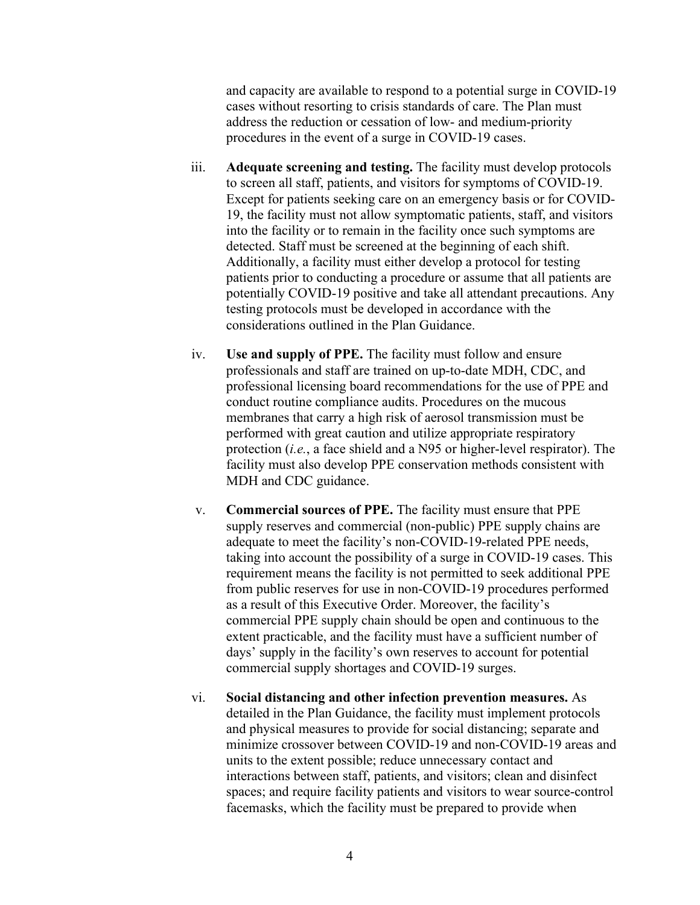and capacity are available to respond to a potential surge in COVID-19 cases without resorting to crisis standards of care. The Plan must address the reduction or cessation of low- and medium-priority procedures in the event of a surge in COVID-19 cases.

- patients prior to conducting a procedure or assume that all patients are iii. **Adequate screening and testing.** The facility must develop protocols to screen all staff, patients, and visitors for symptoms of COVID-19. Except for patients seeking care on an emergency basis or for COVID-19, the facility must not allow symptomatic patients, staff, and visitors into the facility or to remain in the facility once such symptoms are detected. Staff must be screened at the beginning of each shift. Additionally, a facility must either develop a protocol for testing potentially COVID-19 positive and take all attendant precautions. Any testing protocols must be developed in accordance with the considerations outlined in the Plan Guidance.
- membranes that carry a high risk of aerosol transmission must be iv. **Use and supply of PPE.** The facility must follow and ensure professionals and staff are trained on up-to-date MDH, CDC, and professional licensing board recommendations for the use of PPE and conduct routine compliance audits. Procedures on the mucous performed with great caution and utilize appropriate respiratory protection (*i.e.*, a face shield and a N95 or higher-level respirator). The facility must also develop PPE conservation methods consistent with MDH and CDC guidance.
- v. **Commercial sources of PPE.** The facility must ensure that PPE supply reserves and commercial (non-public) PPE supply chains are adequate to meet the facility's non-COVID-19-related PPE needs, taking into account the possibility of a surge in COVID-19 cases. This requirement means the facility is not permitted to seek additional PPE from public reserves for use in non-COVID-19 procedures performed as a result of this Executive Order. Moreover, the facility's commercial PPE supply chain should be open and continuous to the extent practicable, and the facility must have a sufficient number of days' supply in the facility's own reserves to account for potential commercial supply shortages and COVID-19 surges.
- vi. **Social distancing and other infection prevention measures.** As detailed in the Plan Guidance, the facility must implement protocols and physical measures to provide for social distancing; separate and minimize crossover between COVID-19 and non-COVID-19 areas and units to the extent possible; reduce unnecessary contact and interactions between staff, patients, and visitors; clean and disinfect spaces; and require facility patients and visitors to wear source-control facemasks, which the facility must be prepared to provide when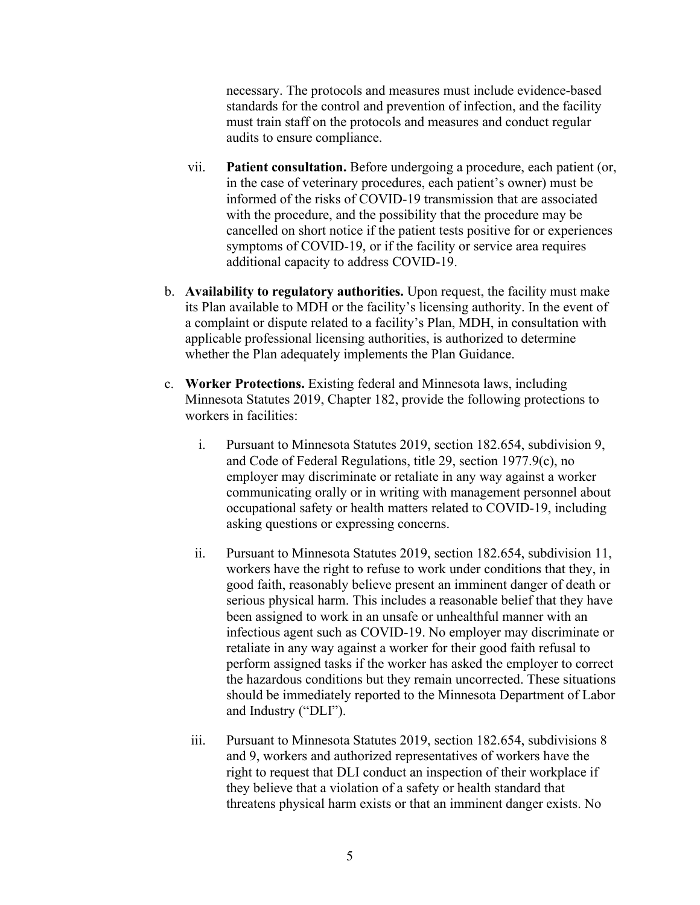necessary. The protocols and measures must include evidence-based standards for the control and prevention of infection, and the facility must train staff on the protocols and measures and conduct regular audits to ensure compliance.

- in the case of veterinary procedures, each patient's owner) must be symptoms of COVID-19, or if the facility or service area requires vii. **Patient consultation.** Before undergoing a procedure, each patient (or, informed of the risks of COVID-19 transmission that are associated with the procedure, and the possibility that the procedure may be cancelled on short notice if the patient tests positive for or experiences additional capacity to address COVID-19.
- b. **Availability to regulatory authorities.** Upon request, the facility must make its Plan available to MDH or the facility's licensing authority. In the event of a complaint or dispute related to a facility's Plan, MDH, in consultation with applicable professional licensing authorities, is authorized to determine whether the Plan adequately implements the Plan Guidance.
- c. **Worker Protections.** Existing federal and Minnesota laws, including Minnesota Statutes 2019, Chapter 182, provide the following protections to workers in facilities:
	- employer may discriminate or retaliate in any way against a worker i. Pursuant to Minnesota Statutes 2019, section 182.654, subdivision 9, and Code of Federal Regulations, title 29, section 1977.9(c), no communicating orally or in writing with management personnel about occupational safety or health matters related to COVID-19, including asking questions or expressing concerns.
	- ii. Pursuant to Minnesota Statutes 2019, section 182.654, subdivision 11, workers have the right to refuse to work under conditions that they, in good faith, reasonably believe present an imminent danger of death or serious physical harm. This includes a reasonable belief that they have been assigned to work in an unsafe or unhealthful manner with an infectious agent such as COVID-19. No employer may discriminate or retaliate in any way against a worker for their good faith refusal to perform assigned tasks if the worker has asked the employer to correct the hazardous conditions but they remain uncorrected. These situations should be immediately reported to the Minnesota Department of Labor and Industry ("DLI").
	- iii. Pursuant to Minnesota Statutes 2019, section 182.654, subdivisions 8 and 9, workers and authorized representatives of workers have the right to request that DLI conduct an inspection of their workplace if they believe that a violation of a safety or health standard that threatens physical harm exists or that an imminent danger exists. No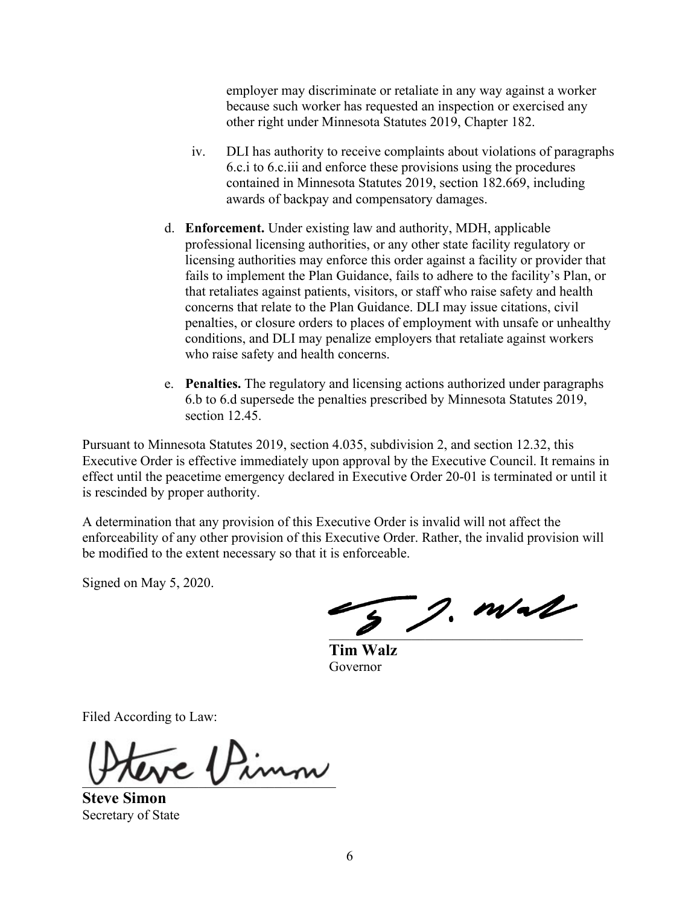employer may discriminate or retaliate in any way against a worker because such worker has requested an inspection or exercised any other right under Minnesota Statutes 2019, Chapter 182.

- iv. DLI has authority to receive complaints about violations of paragraphs 6.c.i to 6.c.iii and enforce these provisions using the procedures contained in Minnesota Statutes 2019, section 182.669, including awards of backpay and compensatory damages.
- professional licensing authorities, or any other state facility regulatory or licensing authorities may enforce this order against a facility or provider that d. **Enforcement.** Under existing law and authority, MDH, applicable fails to implement the Plan Guidance, fails to adhere to the facility's Plan, or that retaliates against patients, visitors, or staff who raise safety and health concerns that relate to the Plan Guidance. DLI may issue citations, civil penalties, or closure orders to places of employment with unsafe or unhealthy conditions, and DLI may penalize employers that retaliate against workers who raise safety and health concerns.
- e. **Penalties.** The regulatory and licensing actions authorized under paragraphs 6.b to 6.d supersede the penalties prescribed by Minnesota Statutes 2019, section 12.45.

Pursuant to Minnesota Statutes 2019, section 4.035, subdivision 2, and section 12.32, this Executive Order is effective immediately upon approval by the Executive Council. It remains in effect until the peacetime emergency declared in Executive Order 20-01 is terminated or until it is rescinded by proper authority.

A determination that any provision of this Executive Order is invalid will not affect the enforceability of any other provision of this Executive Order. Rather, the invalid provision will be modified to the extent necessary so that it is enforceable.

Signed on May 5, 2020.

 $\frac{1}{2}$ , m/al

**Tim Walz**  Governor

Filed According to Law:

\_\_\_\_\_\_\_\_\_\_\_\_\_\_\_\_\_\_\_\_\_\_\_\_\_\_\_\_\_\_\_\_\_\_\_\_\_

**Steve Simon**  Secretary of State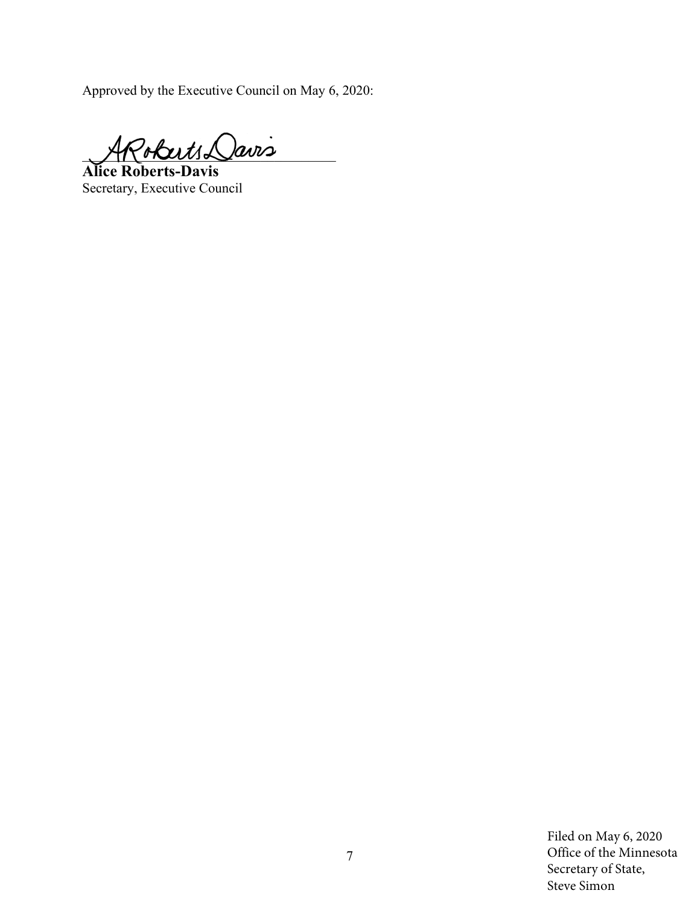Approved by the Executive Council on May 6, 2020:

 $\partial \det(1+\lambda)$ avis

**Alice Roberts-Davis**  Secretary, Executive Council

Filed on May 6, 2020 Office of the Minnesota 7 Secretary of State, Steve Simon